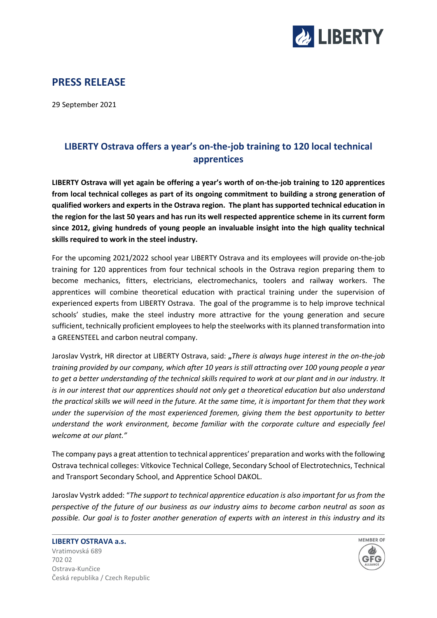

## **PRESS RELEASE**

29 September 2021

## **LIBERTY Ostrava offers a year's on-the-job training to 120 local technical apprentices**

**LIBERTY Ostrava will yet again be offering a year's worth of on-the-job training to 120 apprentices from local technical colleges as part of its ongoing commitment to building a strong generation of qualified workers and experts in the Ostrava region. The plant has supported technical education in the region for the last 50 years and has run its well respected apprentice scheme in its current form since 2012, giving hundreds of young people an invaluable insight into the high quality technical skills required to work in the steel industry.**

For the upcoming 2021/2022 school year LIBERTY Ostrava and its employees will provide on-the-job training for 120 apprentices from four technical schools in the Ostrava region preparing them to become mechanics, fitters, electricians, electromechanics, toolers and railway workers. The apprentices will combine theoretical education with practical training under the supervision of experienced experts from LIBERTY Ostrava. The goal of the programme is to help improve technical schools' studies, make the steel industry more attractive for the young generation and secure sufficient, technically proficient employees to help the steelworks with its planned transformation into a GREENSTEEL and carbon neutral company.

Jaroslav Vystrk, HR director at LIBERTY Ostrava, said: **"***There is always huge interest in the on-the-job training provided by our company, which after 10 years is still attracting over 100 young people a year to get a better understanding of the technical skills required to work at our plant and in our industry. It is in our interest that our apprentices should not only get a theoretical education but also understand the practical skills we will need in the future. At the same time, it is important for them that they work under the supervision of the most experienced foremen, giving them the best opportunity to better understand the work environment, become familiar with the corporate culture and especially feel welcome at our plant."*

The company pays a great attention to technical apprentices' preparation and works with the following Ostrava technical colleges: Vítkovice Technical College, Secondary School of Electrotechnics, Technical and Transport Secondary School, and Apprentice School DAKOL.

Jaroslav Vystrk added: "*The support to technical apprentice education is also important for us from the perspective of the future of our business as our industry aims to become carbon neutral as soon as possible. Our goal is to foster another generation of experts with an interest in this industry and its*